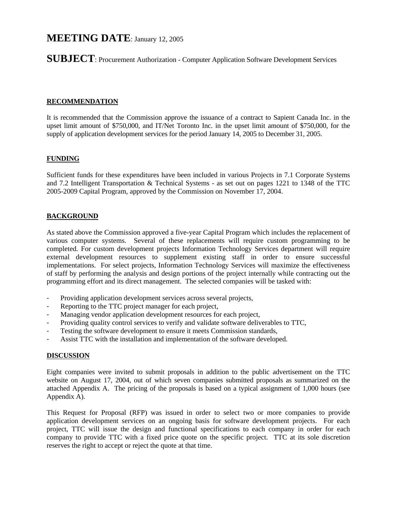# **MEETING DATE**: January 12, 2005

**SUBJECT**: Procurement Authorization - Computer Application Software Development Services

### **RECOMMENDATION**

It is recommended that the Commission approve the issuance of a contract to Sapient Canada Inc. in the upset limit amount of \$750,000, and IT/Net Toronto Inc. in the upset limit amount of \$750,000, for the supply of application development services for the period January 14, 2005 to December 31, 2005.

#### **FUNDING**

Sufficient funds for these expenditures have been included in various Projects in 7.1 Corporate Systems and 7.2 Intelligent Transportation & Technical Systems - as set out on pages 1221 to 1348 of the TTC 2005-2009 Capital Program, approved by the Commission on November 17, 2004.

## **BACKGROUND**

As stated above the Commission approved a five-year Capital Program which includes the replacement of various computer systems. Several of these replacements will require custom programming to be completed. For custom development projects Information Technology Services department will require external development resources to supplement existing staff in order to ensure successful implementations. For select projects, Information Technology Services will maximize the effectiveness of staff by performing the analysis and design portions of the project internally while contracting out the programming effort and its direct management. The selected companies will be tasked with:

- Providing application development services across several projects,
- Reporting to the TTC project manager for each project,
- Managing vendor application development resources for each project,
- Providing quality control services to verify and validate software deliverables to TTC,
- Testing the software development to ensure it meets Commission standards,
- Assist TTC with the installation and implementation of the software developed.

#### **DISCUSSION**

Eight companies were invited to submit proposals in addition to the public advertisement on the TTC website on August 17, 2004, out of which seven companies submitted proposals as summarized on the attached Appendix A. The pricing of the proposals is based on a typical assignment of 1,000 hours (see Appendix A).

This Request for Proposal (RFP) was issued in order to select two or more companies to provide application development services on an ongoing basis for software development projects. For each project, TTC will issue the design and functional specifications to each company in order for each company to provide TTC with a fixed price quote on the specific project. TTC at its sole discretion reserves the right to accept or reject the quote at that time.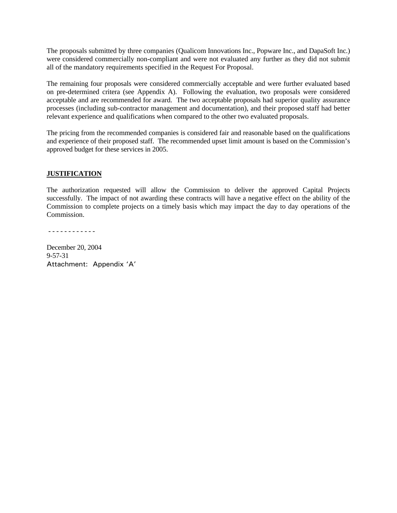The proposals submitted by three companies (Qualicom Innovations Inc., Popware Inc., and DapaSoft Inc.) were considered commercially non-compliant and were not evaluated any further as they did not submit all of the mandatory requirements specified in the Request For Proposal.

The remaining four proposals were considered commercially acceptable and were further evaluated based on pre-determined critera (see Appendix A). Following the evaluation, two proposals were considered acceptable and are recommended for award. The two acceptable proposals had superior quality assurance processes (including sub-contractor management and documentation), and their proposed staff had better relevant experience and qualifications when compared to the other two evaluated proposals.

The pricing from the recommended companies is considered fair and reasonable based on the qualifications and experience of their proposed staff. The recommended upset limit amount is based on the Commission's approved budget for these services in 2005.

#### **JUSTIFICATION**

The authorization requested will allow the Commission to deliver the approved Capital Projects successfully. The impact of not awarding these contracts will have a negative effect on the ability of the Commission to complete projects on a timely basis which may impact the day to day operations of the Commission.

- - - - - - - - - - - -

December 20, 2004 9-57-31 Attachment: Appendix 'A'